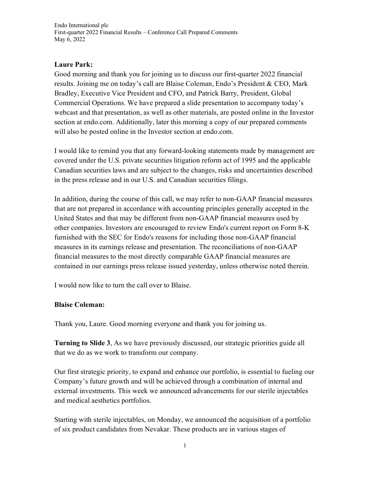## **Laure Park:**

Good morning and thank you for joining us to discuss our first-quarter 2022 financial results. Joining me on today's call are Blaise Coleman, Endo's President & CEO, Mark Bradley, Executive Vice President and CFO, and Patrick Barry, President, Global Commercial Operations. We have prepared a slide presentation to accompany today's webcast and that presentation, as well as other materials, are posted online in the Investor section at endo.com. Additionally, later this morning a copy of our prepared comments will also be posted online in the Investor section at endo.com.

I would like to remind you that any forward-looking statements made by management are covered under the U.S. private securities litigation reform act of 1995 and the applicable Canadian securities laws and are subject to the changes, risks and uncertainties described in the press release and in our U.S. and Canadian securities filings.

In addition, during the course of this call, we may refer to non-GAAP financial measures that are not prepared in accordance with accounting principles generally accepted in the United States and that may be different from non-GAAP financial measures used by other companies. [Investors are encouraged to review Endo's current report on Form 8-K](javascript:SyncMedia()  furnished with the SEC [for Endo's reasons for including those non-GAAP financial](javascript:SyncMedia()  measures in its [earnings release and presentation.](javascript:SyncMedia() The reconciliations of non-GAAP financial measures to the most directly comparable GAAP financial measures are contained in our earnings press release issued yesterday, unless otherwise noted therein.

I would now like to turn the call over to Blaise.

## **Blaise Coleman:**

Thank you, Laure. Good morning everyone and thank you for joining us.

**Turning to Slide 3**, As we have previously discussed, our strategic priorities guide all that we do as we work to transform our company.

Our first strategic priority, to expand and enhance our portfolio, is essential to fueling our Company's future growth and will be achieved through a combination of internal and external investments. This week we announced advancements for our sterile injectables and medical aesthetics portfolios.

Starting with sterile injectables, on Monday, we announced the acquisition of a portfolio of six product candidates from Nevakar. These products are in various stages of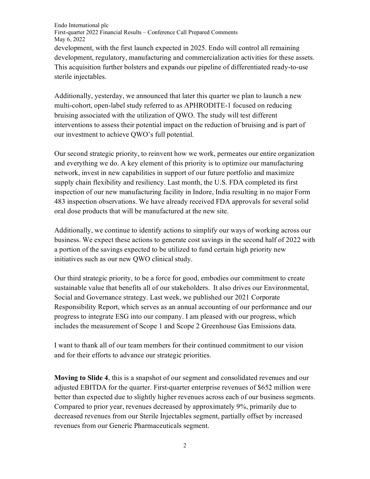Endo International plc First-quarter 2022 Financial Results – Conference Call Prepared Comments May 6, 2022 development, with the first launch expected in 2025. Endo will control all remaining development, regulatory, manufacturing and commercialization activities for these assets. This acquisition further bolsters and expands our pipeline of differentiated ready-to-use sterile injectables.

Additionally, yesterday, we announced that later this quarter we plan to launch a new multi-cohort, open-label study referred to as APHRODITE-1 focused on reducing bruising associated with the utilization of QWO. The study will test different interventions to assess their potential impact on the reduction of bruising and is part of our investment to achieve QWO's full potential.

Our second strategic priority, to reinvent how we work, permeates our entire organization and everything we do. A key element of this priority is to optimize our manufacturing network, invest in new capabilities in support of our future portfolio and maximize supply chain flexibility and resiliency. Last month, the U.S. FDA completed its first inspection of our new manufacturing facility in Indore, India resulting in no major Form 483 inspection observations. We have already received FDA approvals for several solid oral dose products that will be manufactured at the new site.

Additionally, we continue to identify actions to simplify our ways of working across our business. We expect these actions to generate cost savings in the second half of 2022 with a portion of the savings expected to be utilized to fund certain high priority new initiatives such as our new QWO clinical study.

Our third strategic priority, to be a force for good, embodies our commitment to create sustainable value that benefits all of our stakeholders. It also drives our Environmental, Social and Governance strategy. Last week, we published our 2021 Corporate Responsibility Report, which serves as an annual accounting of our performance and our progress to integrate ESG into our company. I am pleased with our progress, which includes the measurement of Scope 1 and Scope 2 Greenhouse Gas Emissions data.

I want to thank all of our team members for their continued commitment to our vision and for their efforts to advance our strategic priorities.

**Moving to Slide 4**, this is a snapshot of our segment and consolidated revenues and our adjusted EBITDA for the quarter. First-quarter enterprise revenues of \$652 million were better than expected due to slightly higher revenues across each of our business segments. Compared to prior year, revenues decreased by approximately 9%, primarily due to decreased revenues from our Sterile Injectables segment, partially offset by increased revenues from our Generic Pharmaceuticals segment.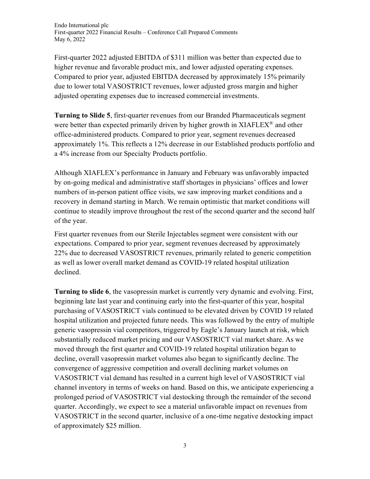First-quarter 2022 adjusted EBITDA of \$311 million was better than expected due to higher revenue and favorable product mix, and lower adjusted operating expenses. Compared to prior year, adjusted EBITDA decreased by approximately 15% primarily due to lower total VASOSTRICT revenues, lower adjusted gross margin and higher adjusted operating expenses due to increased commercial investments.

**Turning to Slide 5**, first-quarter revenues from our Branded Pharmaceuticals segment were better than expected primarily driven by higher growth in XIAFLEX<sup>®</sup> and other office-administered products. Compared to prior year, segment revenues decreased approximately 1%. This reflects a 12% decrease in our Established products portfolio and a 4% increase from our Specialty Products portfolio.

Although XIAFLEX's performance in January and February was unfavorably impacted by on-going medical and administrative staff shortages in physicians' offices and lower numbers of in-person patient office visits, we saw improving market conditions and a recovery in demand starting in March. We remain optimistic that market conditions will continue to steadily improve throughout the rest of the second quarter and the second half of the year.

First quarter revenues from our Sterile Injectables segment were consistent with our expectations. Compared to prior year, segment revenues decreased by approximately 22% due to decreased VASOSTRICT revenues, primarily related to generic competition as well as lower overall market demand as COVID-19 related hospital utilization declined.

**Turning to slide 6**, the vasopressin market is currently very dynamic and evolving. First, beginning late last year and continuing early into the first-quarter of this year, hospital purchasing of VASOSTRICT vials continued to be elevated driven by COVID 19 related hospital utilization and projected future needs. This was followed by the entry of multiple generic vasopressin vial competitors, triggered by Eagle's January launch at risk, which substantially reduced market pricing and our VASOSTRICT vial market share. As we moved through the first quarter and COVID-19 related hospital utilization began to decline, overall vasopressin market volumes also began to significantly decline. The convergence of aggressive competition and overall declining market volumes on VASOSTRICT vial demand has resulted in a current high level of VASOSTRICT vial channel inventory in terms of weeks on hand. Based on this, we anticipate experiencing a prolonged period of VASOSTRICT vial destocking through the remainder of the second quarter. Accordingly, we expect to see a material unfavorable impact on revenues from VASOSTRICT in the second quarter, inclusive of a one-time negative destocking impact of approximately \$25 million.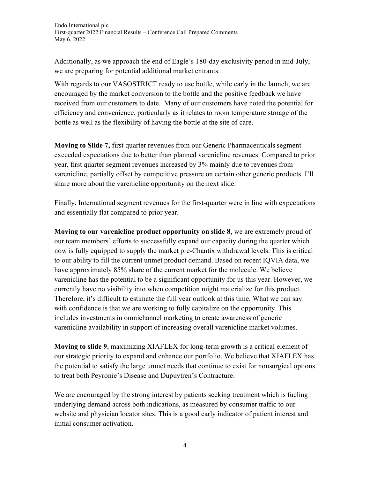Additionally, as we approach the end of Eagle's 180-day exclusivity period in mid-July, we are preparing for potential additional market entrants.

With regards to our VASOSTRICT ready to use bottle, while early in the launch, we are encouraged by the market conversion to the bottle and the positive feedback we have received from our customers to date. Many of our customers have noted the potential for efficiency and convenience, particularly as it relates to room temperature storage of the bottle as well as the flexibility of having the bottle at the site of care.

**Moving to Slide 7,** first quarter revenues from our Generic Pharmaceuticals segment exceeded expectations due to better than planned varenicline revenues. Compared to prior year, first quarter segment revenues increased by 3% mainly due to revenues from varenicline, partially offset by competitive pressure on certain other generic products. I'll share more about the varenicline opportunity on the next slide.

Finally, International segment revenues for the first-quarter were in line with expectations and essentially flat compared to prior year.

**Moving to our varenicline product opportunity on slide 8**, we are extremely proud of our team members' efforts to successfully expand our capacity during the quarter which now is fully equipped to supply the market pre-Chantix withdrawal levels. This is critical to our ability to fill the current unmet product demand. Based on recent IQVIA data, we have approximately 85% share of the current market for the molecule. We believe varenicline has the potential to be a significant opportunity for us this year. However, we currently have no visibility into when competition might materialize for this product. Therefore, it's difficult to estimate the full year outlook at this time. What we can say with confidence is that we are working to fully capitalize on the opportunity. This includes investments in omnichannel marketing to create awareness of generic varenicline availability in support of increasing overall varenicline market volumes.

**Moving to slide 9**, maximizing XIAFLEX for long-term growth is a critical element of our strategic priority to expand and enhance our portfolio. We believe that XIAFLEX has the potential to satisfy the large unmet needs that continue to exist for nonsurgical options to treat both Peyronie's Disease and Dupuytren's Contracture.

We are encouraged by the strong interest by patients seeking treatment which is fueling underlying demand across both indications, as measured by consumer traffic to our website and physician locator sites. This is a good early indicator of patient interest and initial consumer activation.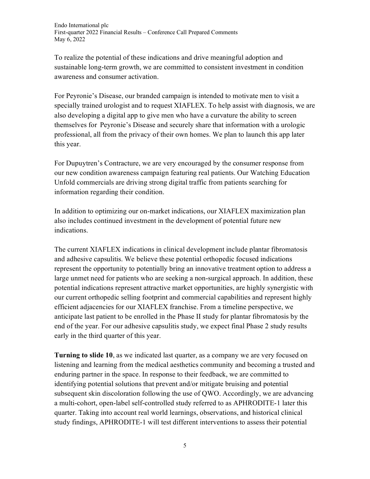To realize the potential of these indications and drive meaningful adoption and sustainable long-term growth, we are committed to consistent investment in condition awareness and consumer activation.

For Peyronie's Disease, our branded campaign is intended to motivate men to visit a specially trained urologist and to request XIAFLEX. To help assist with diagnosis, we are also developing a digital app to give men who have a curvature the ability to screen themselves for Peyronie's Disease and securely share that information with a urologic professional, all from the privacy of their own homes. We plan to launch this app later this year.

For Dupuytren's Contracture, we are very encouraged by the consumer response from our new condition awareness campaign featuring real patients. Our Watching Education Unfold commercials are driving strong digital traffic from patients searching for information regarding their condition.

In addition to optimizing our on-market indications, our XIAFLEX maximization plan also includes continued investment in the development of potential future new indications.

The current XIAFLEX indications in clinical development include plantar fibromatosis and adhesive capsulitis. We believe these potential orthopedic focused indications represent the opportunity to potentially bring an innovative treatment option to address a large unmet need for patients who are seeking a non-surgical approach. In addition, these potential indications represent attractive market opportunities, are highly synergistic with our current orthopedic selling footprint and commercial capabilities and represent highly efficient adjacencies for our XIAFLEX franchise. From a timeline perspective, we anticipate last patient to be enrolled in the Phase II study for plantar fibromatosis by the end of the year. For our adhesive capsulitis study, we expect final Phase 2 study results early in the third quarter of this year.

**Turning to slide 10**, as we indicated last quarter, as a company we are very focused on listening and learning from the medical aesthetics community and becoming a trusted and enduring partner in the space. In response to their feedback, we are committed to identifying potential solutions that prevent and/or mitigate bruising and potential subsequent skin discoloration following the use of QWO. Accordingly, we are advancing a multi-cohort, open-label self-controlled study referred to as APHRODITE-1 later this quarter. Taking into account real world learnings, observations, and historical clinical study findings, APHRODITE-1 will test different interventions to assess their potential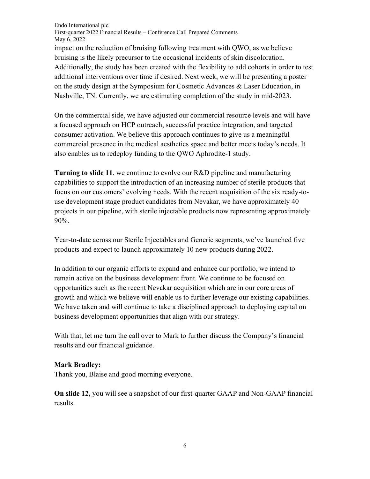Endo International plc First-quarter 2022 Financial Results – Conference Call Prepared Comments May 6, 2022 impact on the reduction of bruising following treatment with QWO, as we believe bruising is the likely precursor to the occasional incidents of skin discoloration. Additionally, the study has been created with the flexibility to add cohorts in order to test additional interventions over time if desired. Next week, we will be presenting a poster on the study design at the Symposium for Cosmetic Advances & Laser Education, in Nashville, TN. Currently, we are estimating completion of the study in mid-2023.

On the commercial side, we have adjusted our commercial resource levels and will have a focused approach on HCP outreach, successful practice integration, and targeted consumer activation. We believe this approach continues to give us a meaningful commercial presence in the medical aesthetics space and better meets today's needs. It also enables us to redeploy funding to the QWO Aphrodite-1 study.

**Turning to slide 11**, we continue to evolve our R&D pipeline and manufacturing capabilities to support the introduction of an increasing number of sterile products that focus on our customers' evolving needs. With the recent acquisition of the six ready-touse development stage product candidates from Nevakar, we have approximately 40 projects in our pipeline, with sterile injectable products now representing approximately 90%.

Year-to-date across our Sterile Injectables and Generic segments, we've launched five products and expect to launch approximately 10 new products during 2022.

In addition to our organic efforts to expand and enhance our portfolio, we intend to remain active on the business development front. We continue to be focused on opportunities such as the recent Nevakar acquisition which are in our core areas of growth and which we believe will enable us to further leverage our existing capabilities. We have taken and will continue to take a disciplined approach to deploying capital on business development opportunities that align with our strategy.

With that, let me turn the call over to Mark to further discuss the Company's financial results and our financial guidance.

## **Mark Bradley:**

Thank you, Blaise and good morning everyone.

**On slide 12,** you will see a snapshot of our first-quarter GAAP and Non-GAAP financial results.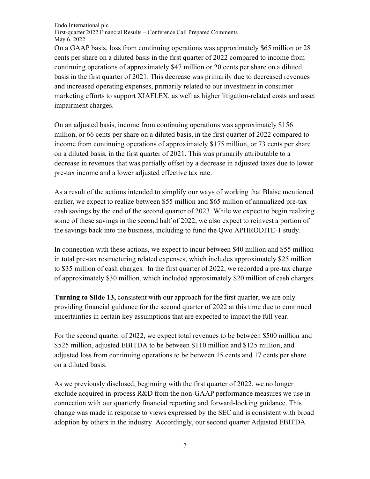On a GAAP basis, loss from continuing operations was approximately \$65 million or 28 cents per share on a diluted basis in the first quarter of 2022 compared to income from continuing operations of approximately \$47 million or 20 cents per share on a diluted basis in the first quarter of 2021. This decrease was primarily due to decreased revenues and increased operating expenses, primarily related to our investment in consumer marketing efforts to support XIAFLEX, as well as higher litigation-related costs and asset impairment charges.

On an adjusted basis, income from continuing operations was approximately \$156 million, or 66 cents per share on a diluted basis, in the first quarter of 2022 compared to income from continuing operations of approximately \$175 million, or 73 cents per share on a diluted basis, in the first quarter of 2021. This was primarily attributable to a decrease in revenues that was partially offset by a decrease in adjusted taxes due to lower pre-tax income and a lower adjusted effective tax rate.

As a result of the actions intended to simplify our ways of working that Blaise mentioned earlier, we expect to realize between \$55 million and \$65 million of annualized pre-tax cash savings by the end of the second quarter of 2023. While we expect to begin realizing some of these savings in the second half of 2022, we also expect to reinvest a portion of the savings back into the business, including to fund the Qwo APHRODITE-1 study.

In connection with these actions, we expect to incur between \$40 million and \$55 million in total pre-tax restructuring related expenses, which includes approximately \$25 million to \$35 million of cash charges. In the first quarter of 2022, we recorded a pre-tax charge of approximately \$30 million, which included approximately \$20 million of cash charges.

**Turning to Slide 13,** consistent with our approach for the first quarter, we are only providing financial guidance for the second quarter of 2022 at this time due to continued uncertainties in certain key assumptions that are expected to impact the full year.

For the second quarter of 2022, we expect total revenues to be between \$500 million and \$525 million, adjusted EBITDA to be between \$110 million and \$125 million, and adjusted loss from continuing operations to be between 15 cents and 17 cents per share on a diluted basis.

As we previously disclosed, beginning with the first quarter of 2022, we no longer exclude acquired in-process R&D from the non-GAAP performance measures we use in connection with our quarterly financial reporting and forward-looking guidance. This change was made in response to views expressed by the SEC and is consistent with broad adoption by others in the industry. Accordingly, our second quarter Adjusted EBITDA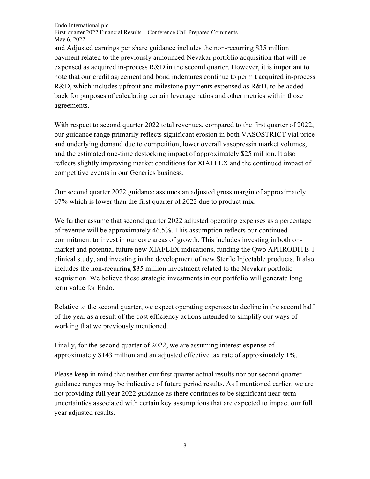and Adjusted earnings per share guidance includes the non-recurring \$35 million payment related to the previously announced Nevakar portfolio acquisition that will be expensed as acquired in-process R&D in the second quarter. However, it is important to note that our credit agreement and bond indentures continue to permit acquired in-process R&D, which includes upfront and milestone payments expensed as R&D, to be added back for purposes of calculating certain leverage ratios and other metrics within those agreements.

With respect to second quarter 2022 total revenues, compared to the first quarter of 2022, our guidance range primarily reflects significant erosion in both VASOSTRICT vial price and underlying demand due to competition, lower overall vasopressin market volumes, and the estimated one-time destocking impact of approximately \$25 million. It also reflects slightly improving market conditions for XIAFLEX and the continued impact of competitive events in our Generics business.

Our second quarter 2022 guidance assumes an adjusted gross margin of approximately 67% which is lower than the first quarter of 2022 due to product mix.

We further assume that second quarter 2022 adjusted operating expenses as a percentage of revenue will be approximately 46.5%. This assumption reflects our continued commitment to invest in our core areas of growth. This includes investing in both onmarket and potential future new XIAFLEX indications, funding the Qwo APHRODITE-1 clinical study, and investing in the development of new Sterile Injectable products. It also includes the non-recurring \$35 million investment related to the Nevakar portfolio acquisition. We believe these strategic investments in our portfolio will generate long term value for Endo.

Relative to the second quarter, we expect operating expenses to decline in the second half of the year as a result of the cost efficiency actions intended to simplify our ways of working that we previously mentioned.

Finally, for the second quarter of 2022, we are assuming interest expense of approximately \$143 million and an adjusted effective tax rate of approximately 1%.

Please keep in mind that neither our first quarter actual results nor our second quarter guidance ranges may be indicative of future period results. As I mentioned earlier, we are not providing full year 2022 guidance as there continues to be significant near-term uncertainties associated with certain key assumptions that are expected to impact our full year adjusted results.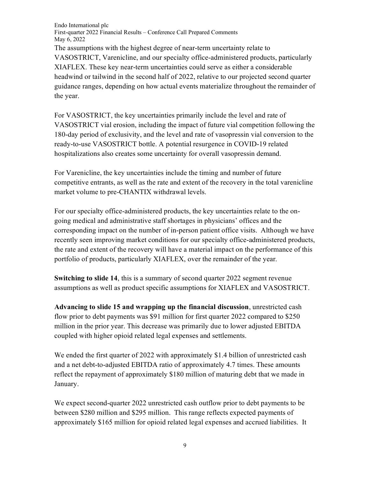Endo International plc First-quarter 2022 Financial Results – Conference Call Prepared Comments May 6, 2022 The assumptions with the highest degree of near-term uncertainty relate to VASOSTRICT, Varenicline, and our specialty office-administered products, particularly XIAFLEX. These key near-term uncertainties could serve as either a considerable headwind or tailwind in the second half of 2022, relative to our projected second quarter guidance ranges, depending on how actual events materialize throughout the remainder of the year.

For VASOSTRICT, the key uncertainties primarily include the level and rate of VASOSTRICT vial erosion, including the impact of future vial competition following the 180-day period of exclusivity, and the level and rate of vasopressin vial conversion to the ready-to-use VASOSTRICT bottle. A potential resurgence in COVID-19 related hospitalizations also creates some uncertainty for overall vasopressin demand.

For Varenicline, the key uncertainties include the timing and number of future competitive entrants, as well as the rate and extent of the recovery in the total varenicline market volume to pre-CHANTIX withdrawal levels.

For our specialty office-administered products, the key uncertainties relate to the ongoing medical and administrative staff shortages in physicians' offices and the corresponding impact on the number of in-person patient office visits. Although we have recently seen improving market conditions for our specialty office-administered products, the rate and extent of the recovery will have a material impact on the performance of this portfolio of products, particularly XIAFLEX, over the remainder of the year.

**Switching to slide 14,** this is a summary of second quarter 2022 segment revenue assumptions as well as product specific assumptions for XIAFLEX and VASOSTRICT.

**Advancing to slide 15 and wrapping up the financial discussion**, unrestricted cash flow prior to debt payments was \$91 million for first quarter 2022 compared to \$250 million in the prior year. This decrease was primarily due to lower adjusted EBITDA coupled with higher opioid related legal expenses and settlements.

We ended the first quarter of 2022 with approximately \$1.4 billion of unrestricted cash and a net debt-to-adjusted EBITDA ratio of approximately 4.7 times. These amounts reflect the repayment of approximately \$180 million of maturing debt that we made in January.

We expect second-quarter 2022 unrestricted cash outflow prior to debt payments to be between \$280 million and \$295 million. This range reflects expected payments of approximately \$165 million for opioid related legal expenses and accrued liabilities. It